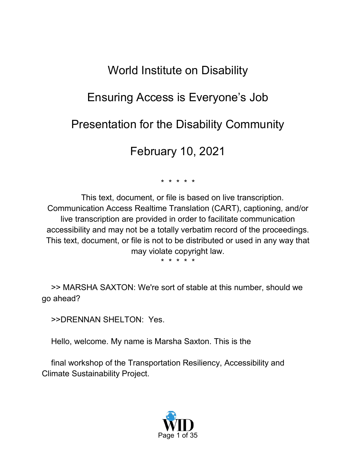# World Institute on Disability

# Ensuring Access is Everyone's Job

## Presentation for the Disability Community

## February 10, 2021

\* \* \* \* \*

This text, document, or file is based on live transcription. Communication Access Realtime Translation (CART), captioning, and/or live transcription are provided in order to facilitate communication accessibility and may not be a totally verbatim record of the proceedings. This text, document, or file is not to be distributed or used in any way that may violate copyright law.

\* \* \* \* \*

>> MARSHA SAXTON: We're sort of stable at this number, should we go ahead?

>>DRENNAN SHELTON: Yes.

Hello, welcome. My name is Marsha Saxton. This is the

final workshop of the Transportation Resiliency, Accessibility and Climate Sustainability Project.

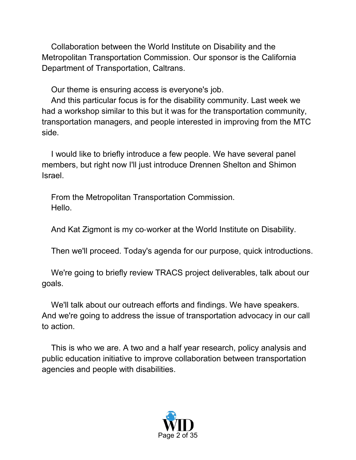Collaboration between the World Institute on Disability and the Metropolitan Transportation Commission. Our sponsor is the California Department of Transportation, Caltrans.

Our theme is ensuring access is everyone's job.

And this particular focus is for the disability community. Last week we had a workshop similar to this but it was for the transportation community, transportation managers, and people interested in improving from the MTC side.

I would like to briefly introduce a few people. We have several panel members, but right now I'll just introduce Drennen Shelton and Shimon Israel.

From the Metropolitan Transportation Commission. Hello.

And Kat Zigmont is my co-worker at the World Institute on Disability.

Then we'll proceed. Today's agenda for our purpose, quick introductions.

We're going to briefly review TRACS project deliverables, talk about our goals.

We'll talk about our outreach efforts and findings. We have speakers. And we're going to address the issue of transportation advocacy in our call to action.

This is who we are. A two and a half year research, policy analysis and public education initiative to improve collaboration between transportation agencies and people with disabilities.

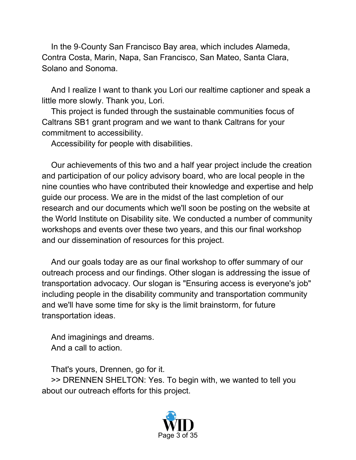In the 9‑County San Francisco Bay area, which includes Alameda, Contra Costa, Marin, Napa, San Francisco, San Mateo, Santa Clara, Solano and Sonoma.

And I realize I want to thank you Lori our realtime captioner and speak a little more slowly. Thank you, Lori.

This project is funded through the sustainable communities focus of Caltrans SB1 grant program and we want to thank Caltrans for your commitment to accessibility.

Accessibility for people with disabilities.

Our achievements of this two and a half year project include the creation and participation of our policy advisory board, who are local people in the nine counties who have contributed their knowledge and expertise and help guide our process. We are in the midst of the last completion of our research and our documents which we'll soon be posting on the website at the World Institute on Disability site. We conducted a number of community workshops and events over these two years, and this our final workshop and our dissemination of resources for this project.

And our goals today are as our final workshop to offer summary of our outreach process and our findings. Other slogan is addressing the issue of transportation advocacy. Our slogan is "Ensuring access is everyone's job" including people in the disability community and transportation community and we'll have some time for sky is the limit brainstorm, for future transportation ideas.

And imaginings and dreams. And a call to action.

That's yours, Drennen, go for it. >> DRENNEN SHELTON: Yes. To begin with, we wanted to tell you about our outreach efforts for this project.

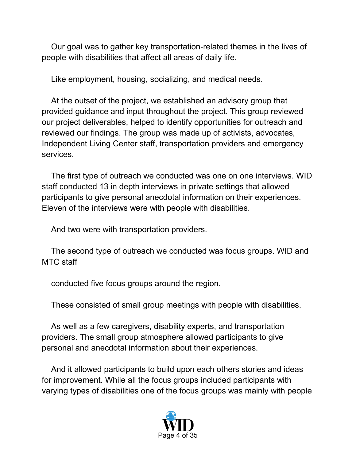Our goal was to gather key transportation‑related themes in the lives of people with disabilities that affect all areas of daily life.

Like employment, housing, socializing, and medical needs.

At the outset of the project, we established an advisory group that provided guidance and input throughout the project. This group reviewed our project deliverables, helped to identify opportunities for outreach and reviewed our findings. The group was made up of activists, advocates, Independent Living Center staff, transportation providers and emergency services.

The first type of outreach we conducted was one on one interviews. WID staff conducted 13 in depth interviews in private settings that allowed participants to give personal anecdotal information on their experiences. Eleven of the interviews were with people with disabilities.

And two were with transportation providers.

The second type of outreach we conducted was focus groups. WID and MTC staff

conducted five focus groups around the region.

These consisted of small group meetings with people with disabilities.

As well as a few caregivers, disability experts, and transportation providers. The small group atmosphere allowed participants to give personal and anecdotal information about their experiences.

And it allowed participants to build upon each others stories and ideas for improvement. While all the focus groups included participants with varying types of disabilities one of the focus groups was mainly with people

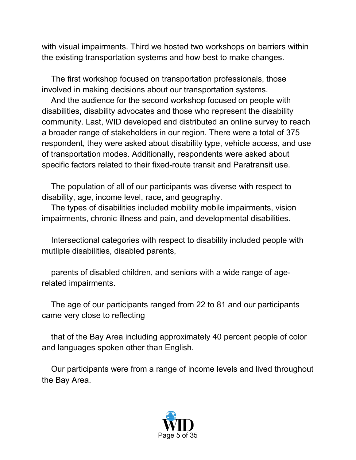with visual impairments. Third we hosted two workshops on barriers within the existing transportation systems and how best to make changes.

The first workshop focused on transportation professionals, those involved in making decisions about our transportation systems.

And the audience for the second workshop focused on people with disabilities, disability advocates and those who represent the disability community. Last, WID developed and distributed an online survey to reach a broader range of stakeholders in our region. There were a total of 375 respondent, they were asked about disability type, vehicle access, and use of transportation modes. Additionally, respondents were asked about specific factors related to their fixed-route transit and Paratransit use.

The population of all of our participants was diverse with respect to disability, age, income level, race, and geography.

The types of disabilities included mobility mobile impairments, vision impairments, chronic illness and pain, and developmental disabilities.

Intersectional categories with respect to disability included people with mutliple disabilities, disabled parents,

parents of disabled children, and seniors with a wide range of agerelated impairments.

The age of our participants ranged from 22 to 81 and our participants came very close to reflecting

that of the Bay Area including approximately 40 percent people of color and languages spoken other than English.

Our participants were from a range of income levels and lived throughout the Bay Area.

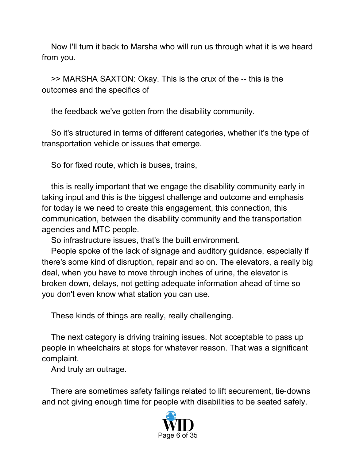Now I'll turn it back to Marsha who will run us through what it is we heard from you.

>> MARSHA SAXTON: Okay. This is the crux of the ‑‑ this is the outcomes and the specifics of

the feedback we've gotten from the disability community.

So it's structured in terms of different categories, whether it's the type of transportation vehicle or issues that emerge.

So for fixed route, which is buses, trains,

this is really important that we engage the disability community early in taking input and this is the biggest challenge and outcome and emphasis for today is we need to create this engagement, this connection, this communication, between the disability community and the transportation agencies and MTC people.

So infrastructure issues, that's the built environment.

People spoke of the lack of signage and auditory guidance, especially if there's some kind of disruption, repair and so on. The elevators, a really big deal, when you have to move through inches of urine, the elevator is broken down, delays, not getting adequate information ahead of time so you don't even know what station you can use.

These kinds of things are really, really challenging.

The next category is driving training issues. Not acceptable to pass up people in wheelchairs at stops for whatever reason. That was a significant complaint.

And truly an outrage.

There are sometimes safety failings related to lift securement, tie‑downs and not giving enough time for people with disabilities to be seated safely.

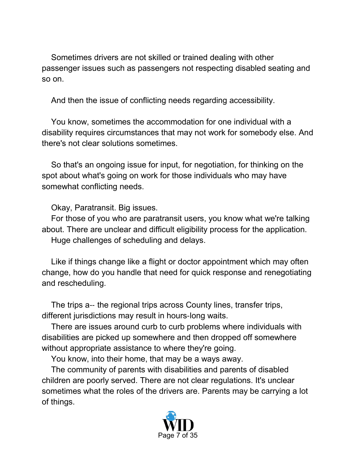Sometimes drivers are not skilled or trained dealing with other passenger issues such as passengers not respecting disabled seating and so on.

And then the issue of conflicting needs regarding accessibility.

You know, sometimes the accommodation for one individual with a disability requires circumstances that may not work for somebody else. And there's not clear solutions sometimes.

So that's an ongoing issue for input, for negotiation, for thinking on the spot about what's going on work for those individuals who may have somewhat conflicting needs.

Okay, Paratransit. Big issues.

For those of you who are paratransit users, you know what we're talking about. There are unclear and difficult eligibility process for the application. Huge challenges of scheduling and delays.

Like if things change like a flight or doctor appointment which may often change, how do you handle that need for quick response and renegotiating and rescheduling.

The trips a-- the regional trips across County lines, transfer trips, different jurisdictions may result in hours‑long waits.

There are issues around curb to curb problems where individuals with disabilities are picked up somewhere and then dropped off somewhere without appropriate assistance to where they're going.

You know, into their home, that may be a ways away.

The community of parents with disabilities and parents of disabled children are poorly served. There are not clear regulations. It's unclear sometimes what the roles of the drivers are. Parents may be carrying a lot of things.

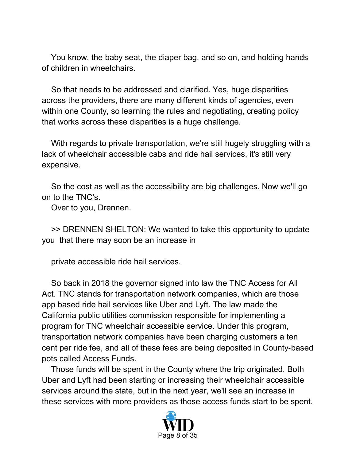You know, the baby seat, the diaper bag, and so on, and holding hands of children in wheelchairs.

So that needs to be addressed and clarified. Yes, huge disparities across the providers, there are many different kinds of agencies, even within one County, so learning the rules and negotiating, creating policy that works across these disparities is a huge challenge.

With regards to private transportation, we're still hugely struggling with a lack of wheelchair accessible cabs and ride hail services, it's still very expensive.

So the cost as well as the accessibility are big challenges. Now we'll go on to the TNC's.

Over to you, Drennen.

>> DRENNEN SHELTON: We wanted to take this opportunity to update you that there may soon be an increase in

private accessible ride hail services.

So back in 2018 the governor signed into law the TNC Access for All Act. TNC stands for transportation network companies, which are those app based ride hail services like Uber and Lyft. The law made the California public utilities commission responsible for implementing a program for TNC wheelchair accessible service. Under this program, transportation network companies have been charging customers a ten cent per ride fee, and all of these fees are being deposited in County‑based pots called Access Funds.

Those funds will be spent in the County where the trip originated. Both Uber and Lyft had been starting or increasing their wheelchair accessible services around the state, but in the next year, we'll see an increase in these services with more providers as those access funds start to be spent.

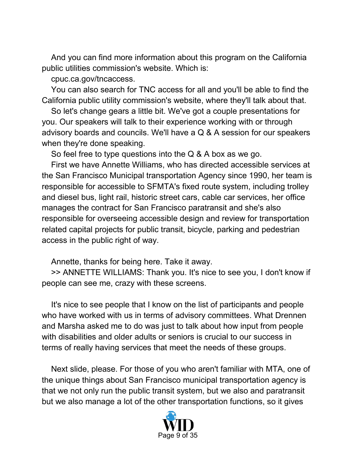And you can find more information about this program on the California public utilities commission's website. Which is:

cpuc.ca.gov/tncaccess.

You can also search for TNC access for all and you'll be able to find the California public utility commission's website, where they'll talk about that.

So let's change gears a little bit. We've got a couple presentations for you. Our speakers will talk to their experience working with or through advisory boards and councils. We'll have a Q & A session for our speakers when they're done speaking.

So feel free to type questions into the Q & A box as we go.

First we have Annette Williams, who has directed accessible services at the San Francisco Municipal transportation Agency since 1990, her team is responsible for accessible to SFMTA's fixed route system, including trolley and diesel bus, light rail, historic street cars, cable car services, her office manages the contract for San Francisco paratransit and she's also responsible for overseeing accessible design and review for transportation related capital projects for public transit, bicycle, parking and pedestrian access in the public right of way.

Annette, thanks for being here. Take it away.

>> ANNETTE WILLIAMS: Thank you. It's nice to see you, I don't know if people can see me, crazy with these screens.

It's nice to see people that I know on the list of participants and people who have worked with us in terms of advisory committees. What Drennen and Marsha asked me to do was just to talk about how input from people with disabilities and older adults or seniors is crucial to our success in terms of really having services that meet the needs of these groups.

Next slide, please. For those of you who aren't familiar with MTA, one of the unique things about San Francisco municipal transportation agency is that we not only run the public transit system, but we also and paratransit but we also manage a lot of the other transportation functions, so it gives

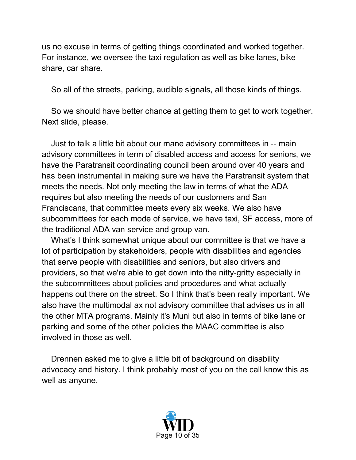us no excuse in terms of getting things coordinated and worked together. For instance, we oversee the taxi regulation as well as bike lanes, bike share, car share.

So all of the streets, parking, audible signals, all those kinds of things.

So we should have better chance at getting them to get to work together. Next slide, please.

Just to talk a little bit about our mane advisory committees in ‑‑ main advisory committees in term of disabled access and access for seniors, we have the Paratransit coordinating council been around over 40 years and has been instrumental in making sure we have the Paratransit system that meets the needs. Not only meeting the law in terms of what the ADA requires but also meeting the needs of our customers and San Franciscans, that committee meets every six weeks. We also have subcommittees for each mode of service, we have taxi, SF access, more of the traditional ADA van service and group van.

What's I think somewhat unique about our committee is that we have a lot of participation by stakeholders, people with disabilities and agencies that serve people with disabilities and seniors, but also drivers and providers, so that we're able to get down into the nitty‑gritty especially in the subcommittees about policies and procedures and what actually happens out there on the street. So I think that's been really important. We also have the multimodal ax not advisory committee that advises us in all the other MTA programs. Mainly it's Muni but also in terms of bike lane or parking and some of the other policies the MAAC committee is also involved in those as well.

Drennen asked me to give a little bit of background on disability advocacy and history. I think probably most of you on the call know this as well as anyone.

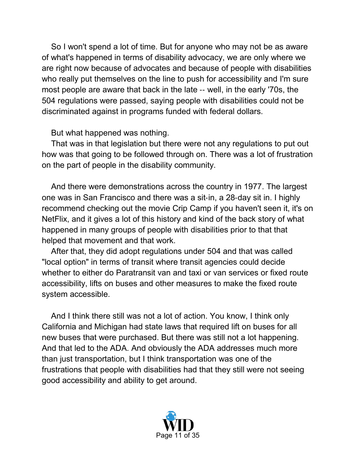So I won't spend a lot of time. But for anyone who may not be as aware of what's happened in terms of disability advocacy, we are only where we are right now because of advocates and because of people with disabilities who really put themselves on the line to push for accessibility and I'm sure most people are aware that back in the late ‑‑ well, in the early '70s, the 504 regulations were passed, saying people with disabilities could not be discriminated against in programs funded with federal dollars.

But what happened was nothing.

That was in that legislation but there were not any regulations to put out how was that going to be followed through on. There was a lot of frustration on the part of people in the disability community.

And there were demonstrations across the country in 1977. The largest one was in San Francisco and there was a sit‑in, a 28‑day sit in. I highly recommend checking out the movie Crip Camp if you haven't seen it, it's on NetFlix, and it gives a lot of this history and kind of the back story of what happened in many groups of people with disabilities prior to that that helped that movement and that work.

After that, they did adopt regulations under 504 and that was called "local option" in terms of transit where transit agencies could decide whether to either do Paratransit van and taxi or van services or fixed route accessibility, lifts on buses and other measures to make the fixed route system accessible.

And I think there still was not a lot of action. You know, I think only California and Michigan had state laws that required lift on buses for all new buses that were purchased. But there was still not a lot happening. And that led to the ADA. And obviously the ADA addresses much more than just transportation, but I think transportation was one of the frustrations that people with disabilities had that they still were not seeing good accessibility and ability to get around.

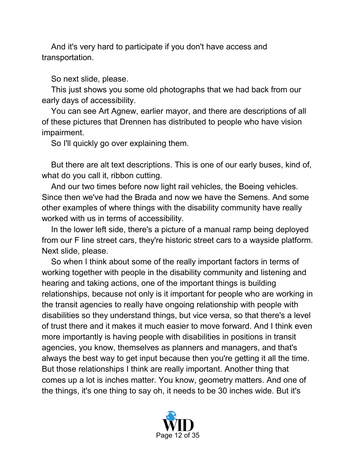And it's very hard to participate if you don't have access and transportation.

So next slide, please.

This just shows you some old photographs that we had back from our early days of accessibility.

You can see Art Agnew, earlier mayor, and there are descriptions of all of these pictures that Drennen has distributed to people who have vision impairment.

So I'll quickly go over explaining them.

But there are alt text descriptions. This is one of our early buses, kind of, what do you call it, ribbon cutting.

And our two times before now light rail vehicles, the Boeing vehicles. Since then we've had the Brada and now we have the Semens. And some other examples of where things with the disability community have really worked with us in terms of accessibility.

In the lower left side, there's a picture of a manual ramp being deployed from our F line street cars, they're historic street cars to a wayside platform. Next slide, please.

So when I think about some of the really important factors in terms of working together with people in the disability community and listening and hearing and taking actions, one of the important things is building relationships, because not only is it important for people who are working in the transit agencies to really have ongoing relationship with people with disabilities so they understand things, but vice versa, so that there's a level of trust there and it makes it much easier to move forward. And I think even more importantly is having people with disabilities in positions in transit agencies, you know, themselves as planners and managers, and that's always the best way to get input because then you're getting it all the time. But those relationships I think are really important. Another thing that comes up a lot is inches matter. You know, geometry matters. And one of the things, it's one thing to say oh, it needs to be 30 inches wide. But it's

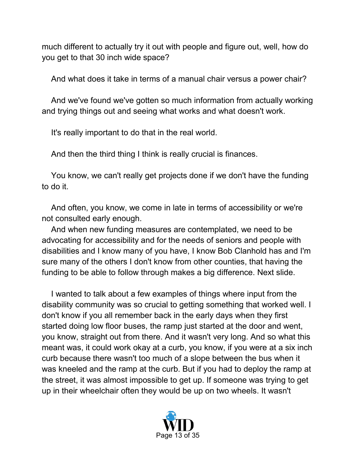much different to actually try it out with people and figure out, well, how do you get to that 30 inch wide space?

And what does it take in terms of a manual chair versus a power chair?

And we've found we've gotten so much information from actually working and trying things out and seeing what works and what doesn't work.

It's really important to do that in the real world.

And then the third thing I think is really crucial is finances.

You know, we can't really get projects done if we don't have the funding to do it.

And often, you know, we come in late in terms of accessibility or we're not consulted early enough.

And when new funding measures are contemplated, we need to be advocating for accessibility and for the needs of seniors and people with disabilities and I know many of you have, I know Bob Clanhold has and I'm sure many of the others I don't know from other counties, that having the funding to be able to follow through makes a big difference. Next slide.

I wanted to talk about a few examples of things where input from the disability community was so crucial to getting something that worked well. I don't know if you all remember back in the early days when they first started doing low floor buses, the ramp just started at the door and went, you know, straight out from there. And it wasn't very long. And so what this meant was, it could work okay at a curb, you know, if you were at a six inch curb because there wasn't too much of a slope between the bus when it was kneeled and the ramp at the curb. But if you had to deploy the ramp at the street, it was almost impossible to get up. If someone was trying to get up in their wheelchair often they would be up on two wheels. It wasn't

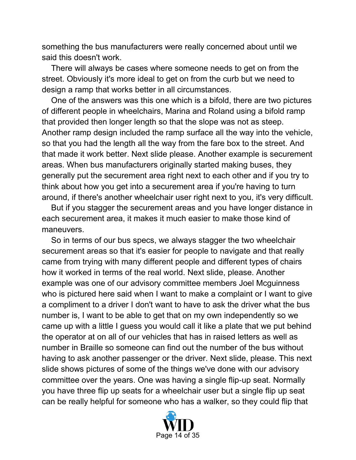something the bus manufacturers were really concerned about until we said this doesn't work.

There will always be cases where someone needs to get on from the street. Obviously it's more ideal to get on from the curb but we need to design a ramp that works better in all circumstances.

One of the answers was this one which is a bifold, there are two pictures of different people in wheelchairs, Marina and Roland using a bifold ramp that provided then longer length so that the slope was not as steep. Another ramp design included the ramp surface all the way into the vehicle, so that you had the length all the way from the fare box to the street. And that made it work better. Next slide please. Another example is securement areas. When bus manufacturers originally started making buses, they generally put the securement area right next to each other and if you try to think about how you get into a securement area if you're having to turn around, if there's another wheelchair user right next to you, it's very difficult.

But if you stagger the securement areas and you have longer distance in each securement area, it makes it much easier to make those kind of maneuvers.

So in terms of our bus specs, we always stagger the two wheelchair securement areas so that it's easier for people to navigate and that really came from trying with many different people and different types of chairs how it worked in terms of the real world. Next slide, please. Another example was one of our advisory committee members Joel Mcguinness who is pictured here said when I want to make a complaint or I want to give a compliment to a driver I don't want to have to ask the driver what the bus number is, I want to be able to get that on my own independently so we came up with a little I guess you would call it like a plate that we put behind the operator at on all of our vehicles that has in raised letters as well as number in Braille so someone can find out the number of the bus without having to ask another passenger or the driver. Next slide, please. This next slide shows pictures of some of the things we've done with our advisory committee over the years. One was having a single flip‑up seat. Normally you have three flip up seats for a wheelchair user but a single flip up seat can be really helpful for someone who has a walker, so they could flip that

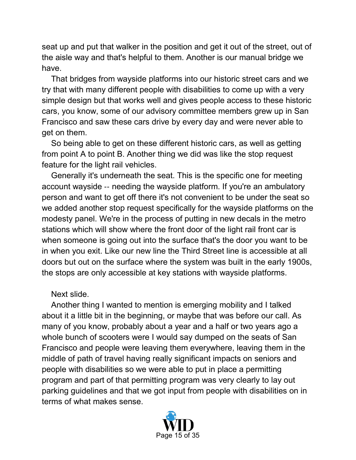seat up and put that walker in the position and get it out of the street, out of the aisle way and that's helpful to them. Another is our manual bridge we have.

That bridges from wayside platforms into our historic street cars and we try that with many different people with disabilities to come up with a very simple design but that works well and gives people access to these historic cars, you know, some of our advisory committee members grew up in San Francisco and saw these cars drive by every day and were never able to get on them.

So being able to get on these different historic cars, as well as getting from point A to point B. Another thing we did was like the stop request feature for the light rail vehicles.

Generally it's underneath the seat. This is the specific one for meeting account wayside ‑‑ needing the wayside platform. If you're an ambulatory person and want to get off there it's not convenient to be under the seat so we added another stop request specifically for the wayside platforms on the modesty panel. We're in the process of putting in new decals in the metro stations which will show where the front door of the light rail front car is when someone is going out into the surface that's the door you want to be in when you exit. Like our new line the Third Street line is accessible at all doors but out on the surface where the system was built in the early 1900s, the stops are only accessible at key stations with wayside platforms.

#### Next slide.

Another thing I wanted to mention is emerging mobility and I talked about it a little bit in the beginning, or maybe that was before our call. As many of you know, probably about a year and a half or two years ago a whole bunch of scooters were I would say dumped on the seats of San Francisco and people were leaving them everywhere, leaving them in the middle of path of travel having really significant impacts on seniors and people with disabilities so we were able to put in place a permitting program and part of that permitting program was very clearly to lay out parking guidelines and that we got input from people with disabilities on in terms of what makes sense.

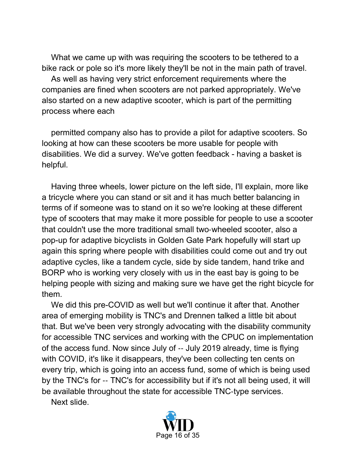What we came up with was requiring the scooters to be tethered to a bike rack or pole so it's more likely they'll be not in the main path of travel.

As well as having very strict enforcement requirements where the companies are fined when scooters are not parked appropriately. We've also started on a new adaptive scooter, which is part of the permitting process where each

permitted company also has to provide a pilot for adaptive scooters. So looking at how can these scooters be more usable for people with disabilities. We did a survey. We've gotten feedback - having a basket is helpful.

Having three wheels, lower picture on the left side, I'll explain, more like a tricycle where you can stand or sit and it has much better balancing in terms of if someone was to stand on it so we're looking at these different type of scooters that may make it more possible for people to use a scooter that couldn't use the more traditional small two‑wheeled scooter, also a pop-up for adaptive bicyclists in Golden Gate Park hopefully will start up again this spring where people with disabilities could come out and try out adaptive cycles, like a tandem cycle, side by side tandem, hand trike and BORP who is working very closely with us in the east bay is going to be helping people with sizing and making sure we have get the right bicycle for them.

We did this pre-COVID as well but we'll continue it after that. Another area of emerging mobility is TNC's and Drennen talked a little bit about that. But we've been very strongly advocating with the disability community for accessible TNC services and working with the CPUC on implementation of the access fund. Now since July of ‑‑ July 2019 already, time is flying with COVID, it's like it disappears, they've been collecting ten cents on every trip, which is going into an access fund, some of which is being used by the TNC's for -- TNC's for accessibility but if it's not all being used, it will be available throughout the state for accessible TNC‑type services.

Next slide.

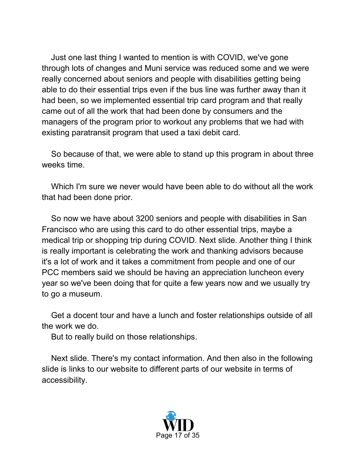Just one last thing I wanted to mention is with COVID, we've gone through lots of changes and Muni service was reduced some and we were really concerned about seniors and people with disabilities getting being able to do their essential trips even if the bus line was further away than it had been, so we implemented essential trip card program and that really came out of all the work that had been done by consumers and the managers of the program prior to workout any problems that we had with existing paratransit program that used a taxi debit card.

So because of that, we were able to stand up this program in about three weeks time.

Which I'm sure we never would have been able to do without all the work that had been done prior.

So now we have about 3200 seniors and people with disabilities in San Francisco who are using this card to do other essential trips, maybe a medical trip or shopping trip during COVID. Next slide. Another thing I think is really important is celebrating the work and thanking advisors because it's a lot of work and it takes a commitment from people and one of our PCC members said we should be having an appreciation luncheon every year so we've been doing that for quite a few years now and we usually try to go a museum.

Get a docent tour and have a lunch and foster relationships outside of all the work we do.

But to really build on those relationships.

Next slide. There's my contact information. And then also in the following slide is links to our website to different parts of our website in terms of accessibility.

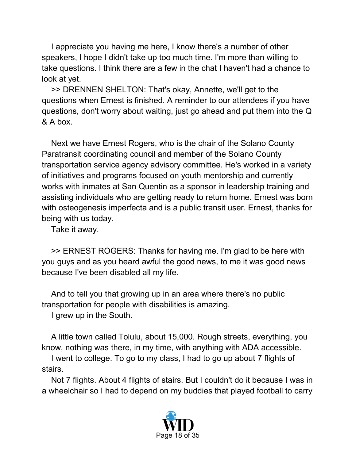I appreciate you having me here, I know there's a number of other speakers, I hope I didn't take up too much time. I'm more than willing to take questions. I think there are a few in the chat I haven't had a chance to look at yet.

>> DRENNEN SHELTON: That's okay, Annette, we'll get to the questions when Ernest is finished. A reminder to our attendees if you have questions, don't worry about waiting, just go ahead and put them into the Q & A box.

Next we have Ernest Rogers, who is the chair of the Solano County Paratransit coordinating council and member of the Solano County transportation service agency advisory committee. He's worked in a variety of initiatives and programs focused on youth mentorship and currently works with inmates at San Quentin as a sponsor in leadership training and assisting individuals who are getting ready to return home. Ernest was born with osteogenesis imperfecta and is a public transit user. Ernest, thanks for being with us today.

Take it away.

>> ERNEST ROGERS: Thanks for having me. I'm glad to be here with you guys and as you heard awful the good news, to me it was good news because I've been disabled all my life.

And to tell you that growing up in an area where there's no public transportation for people with disabilities is amazing.

I grew up in the South.

A little town called Tolulu, about 15,000. Rough streets, everything, you know, nothing was there, in my time, with anything with ADA accessible.

I went to college. To go to my class, I had to go up about 7 flights of stairs.

Not 7 flights. About 4 flights of stairs. But I couldn't do it because I was in a wheelchair so I had to depend on my buddies that played football to carry

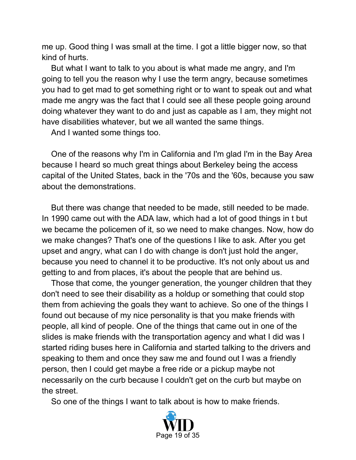me up. Good thing I was small at the time. I got a little bigger now, so that kind of hurts.

But what I want to talk to you about is what made me angry, and I'm going to tell you the reason why I use the term angry, because sometimes you had to get mad to get something right or to want to speak out and what made me angry was the fact that I could see all these people going around doing whatever they want to do and just as capable as I am, they might not have disabilities whatever, but we all wanted the same things.

And I wanted some things too.

One of the reasons why I'm in California and I'm glad I'm in the Bay Area because I heard so much great things about Berkeley being the access capital of the United States, back in the '70s and the '60s, because you saw about the demonstrations.

But there was change that needed to be made, still needed to be made. In 1990 came out with the ADA law, which had a lot of good things in t but we became the policemen of it, so we need to make changes. Now, how do we make changes? That's one of the questions I like to ask. After you get upset and angry, what can I do with change is don't just hold the anger, because you need to channel it to be productive. It's not only about us and getting to and from places, it's about the people that are behind us.

Those that come, the younger generation, the younger children that they don't need to see their disability as a holdup or something that could stop them from achieving the goals they want to achieve. So one of the things I found out because of my nice personality is that you make friends with people, all kind of people. One of the things that came out in one of the slides is make friends with the transportation agency and what I did was I started riding buses here in California and started talking to the drivers and speaking to them and once they saw me and found out I was a friendly person, then I could get maybe a free ride or a pickup maybe not necessarily on the curb because I couldn't get on the curb but maybe on the street.

So one of the things I want to talk about is how to make friends.

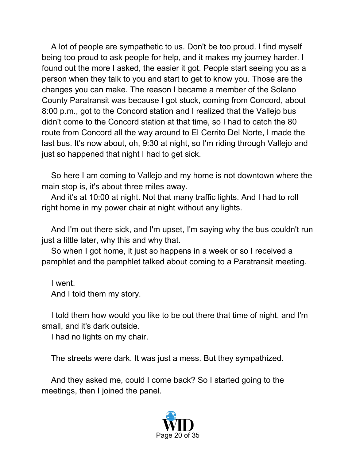A lot of people are sympathetic to us. Don't be too proud. I find myself being too proud to ask people for help, and it makes my journey harder. I found out the more I asked, the easier it got. People start seeing you as a person when they talk to you and start to get to know you. Those are the changes you can make. The reason I became a member of the Solano County Paratransit was because I got stuck, coming from Concord, about 8:00 p.m., got to the Concord station and I realized that the Vallejo bus didn't come to the Concord station at that time, so I had to catch the 80 route from Concord all the way around to El Cerrito Del Norte, I made the last bus. It's now about, oh, 9:30 at night, so I'm riding through Vallejo and just so happened that night I had to get sick.

So here I am coming to Vallejo and my home is not downtown where the main stop is, it's about three miles away.

And it's at 10:00 at night. Not that many traffic lights. And I had to roll right home in my power chair at night without any lights.

And I'm out there sick, and I'm upset, I'm saying why the bus couldn't run just a little later, why this and why that.

So when I got home, it just so happens in a week or so I received a pamphlet and the pamphlet talked about coming to a Paratransit meeting.

I went. And I told them my story.

I told them how would you like to be out there that time of night, and I'm small, and it's dark outside.

I had no lights on my chair.

The streets were dark. It was just a mess. But they sympathized.

And they asked me, could I come back? So I started going to the meetings, then I joined the panel.

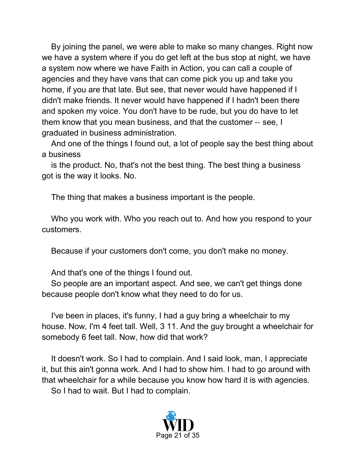By joining the panel, we were able to make so many changes. Right now we have a system where if you do get left at the bus stop at night, we have a system now where we have Faith in Action, you can call a couple of agencies and they have vans that can come pick you up and take you home, if you are that late. But see, that never would have happened if I didn't make friends. It never would have happened if I hadn't been there and spoken my voice. You don't have to be rude, but you do have to let them know that you mean business, and that the customer ‑‑ see, I graduated in business administration.

And one of the things I found out, a lot of people say the best thing about a business

is the product. No, that's not the best thing. The best thing a business got is the way it looks. No.

The thing that makes a business important is the people.

Who you work with. Who you reach out to. And how you respond to your customers.

Because if your customers don't come, you don't make no money.

And that's one of the things I found out.

So people are an important aspect. And see, we can't get things done because people don't know what they need to do for us.

I've been in places, it's funny, I had a guy bring a wheelchair to my house. Now, I'm 4 feet tall. Well, 3 11. And the guy brought a wheelchair for somebody 6 feet tall. Now, how did that work?

It doesn't work. So I had to complain. And I said look, man, I appreciate it, but this ain't gonna work. And I had to show him. I had to go around with that wheelchair for a while because you know how hard it is with agencies.

So I had to wait. But I had to complain.

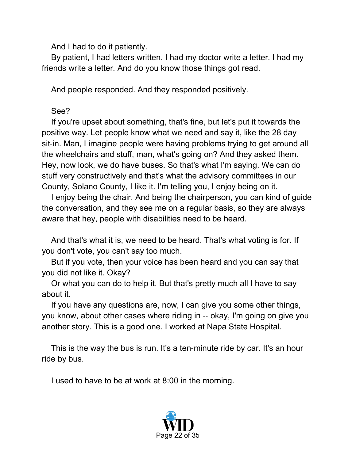And I had to do it patiently.

By patient, I had letters written. I had my doctor write a letter. I had my friends write a letter. And do you know those things got read.

And people responded. And they responded positively.

#### See?

If you're upset about something, that's fine, but let's put it towards the positive way. Let people know what we need and say it, like the 28 day sit-in. Man, I imagine people were having problems trying to get around all the wheelchairs and stuff, man, what's going on? And they asked them. Hey, now look, we do have buses. So that's what I'm saying. We can do stuff very constructively and that's what the advisory committees in our County, Solano County, I like it. I'm telling you, I enjoy being on it.

I enjoy being the chair. And being the chairperson, you can kind of guide the conversation, and they see me on a regular basis, so they are always aware that hey, people with disabilities need to be heard.

And that's what it is, we need to be heard. That's what voting is for. If you don't vote, you can't say too much.

But if you vote, then your voice has been heard and you can say that you did not like it. Okay?

Or what you can do to help it. But that's pretty much all I have to say about it.

If you have any questions are, now, I can give you some other things, you know, about other cases where riding in ‑‑ okay, I'm going on give you another story. This is a good one. I worked at Napa State Hospital.

This is the way the bus is run. It's a ten-minute ride by car. It's an hour ride by bus.

I used to have to be at work at 8:00 in the morning.

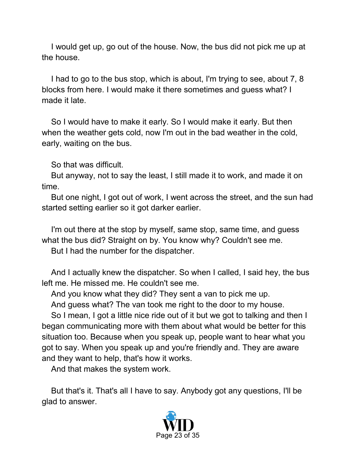I would get up, go out of the house. Now, the bus did not pick me up at the house.

I had to go to the bus stop, which is about, I'm trying to see, about 7, 8 blocks from here. I would make it there sometimes and guess what? I made it late.

So I would have to make it early. So I would make it early. But then when the weather gets cold, now I'm out in the bad weather in the cold, early, waiting on the bus.

So that was difficult.

But anyway, not to say the least, I still made it to work, and made it on time.

But one night, I got out of work, I went across the street, and the sun had started setting earlier so it got darker earlier.

I'm out there at the stop by myself, same stop, same time, and guess what the bus did? Straight on by. You know why? Couldn't see me.

But I had the number for the dispatcher.

And I actually knew the dispatcher. So when I called, I said hey, the bus left me. He missed me. He couldn't see me.

And you know what they did? They sent a van to pick me up.

And guess what? The van took me right to the door to my house.

So I mean, I got a little nice ride out of it but we got to talking and then I began communicating more with them about what would be better for this situation too. Because when you speak up, people want to hear what you got to say. When you speak up and you're friendly and. They are aware and they want to help, that's how it works.

And that makes the system work.

But that's it. That's all I have to say. Anybody got any questions, I'll be glad to answer.

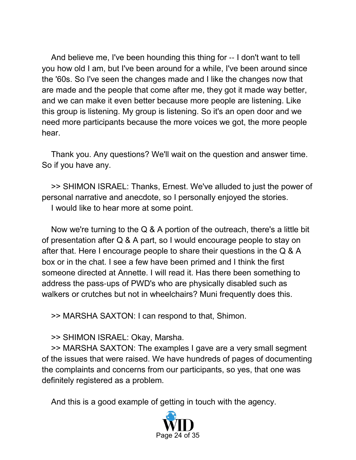And believe me, I've been hounding this thing for ‑‑ I don't want to tell you how old I am, but I've been around for a while, I've been around since the '60s. So I've seen the changes made and I like the changes now that are made and the people that come after me, they got it made way better, and we can make it even better because more people are listening. Like this group is listening. My group is listening. So it's an open door and we need more participants because the more voices we got, the more people hear.

Thank you. Any questions? We'll wait on the question and answer time. So if you have any.

>> SHIMON ISRAEL: Thanks, Ernest. We've alluded to just the power of personal narrative and anecdote, so I personally enjoyed the stories.

I would like to hear more at some point.

Now we're turning to the Q & A portion of the outreach, there's a little bit of presentation after Q & A part, so I would encourage people to stay on after that. Here I encourage people to share their questions in the Q & A box or in the chat. I see a few have been primed and I think the first someone directed at Annette. I will read it. Has there been something to address the pass‑ups of PWD's who are physically disabled such as walkers or crutches but not in wheelchairs? Muni frequently does this.

>> MARSHA SAXTON: I can respond to that, Shimon.

>> SHIMON ISRAEL: Okay, Marsha.

>> MARSHA SAXTON: The examples I gave are a very small segment of the issues that were raised. We have hundreds of pages of documenting the complaints and concerns from our participants, so yes, that one was definitely registered as a problem.

And this is a good example of getting in touch with the agency.

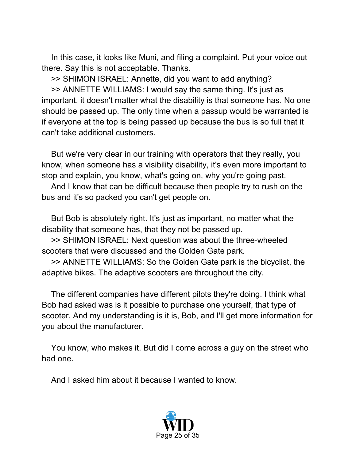In this case, it looks like Muni, and filing a complaint. Put your voice out there. Say this is not acceptable. Thanks.

>> SHIMON ISRAEL: Annette, did you want to add anything?

>> ANNETTE WILLIAMS: I would say the same thing. It's just as important, it doesn't matter what the disability is that someone has. No one should be passed up. The only time when a passup would be warranted is if everyone at the top is being passed up because the bus is so full that it can't take additional customers.

But we're very clear in our training with operators that they really, you know, when someone has a visibility disability, it's even more important to stop and explain, you know, what's going on, why you're going past.

And I know that can be difficult because then people try to rush on the bus and it's so packed you can't get people on.

But Bob is absolutely right. It's just as important, no matter what the disability that someone has, that they not be passed up.

>> SHIMON ISRAEL: Next question was about the three‑wheeled scooters that were discussed and the Golden Gate park.

>> ANNETTE WILLIAMS: So the Golden Gate park is the bicyclist, the adaptive bikes. The adaptive scooters are throughout the city.

The different companies have different pilots they're doing. I think what Bob had asked was is it possible to purchase one yourself, that type of scooter. And my understanding is it is, Bob, and I'll get more information for you about the manufacturer.

You know, who makes it. But did I come across a guy on the street who had one.

And I asked him about it because I wanted to know.

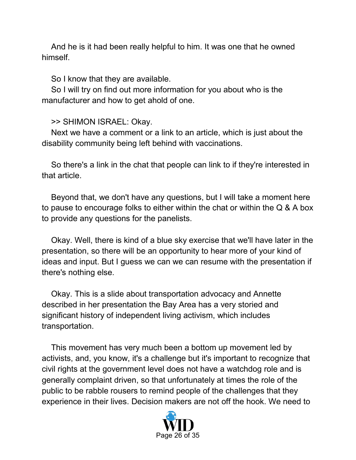And he is it had been really helpful to him. It was one that he owned himself.

So I know that they are available.

So I will try on find out more information for you about who is the manufacturer and how to get ahold of one.

### >> SHIMON ISRAEL: Okay.

Next we have a comment or a link to an article, which is just about the disability community being left behind with vaccinations.

So there's a link in the chat that people can link to if they're interested in that article.

Beyond that, we don't have any questions, but I will take a moment here to pause to encourage folks to either within the chat or within the Q & A box to provide any questions for the panelists.

Okay. Well, there is kind of a blue sky exercise that we'll have later in the presentation, so there will be an opportunity to hear more of your kind of ideas and input. But I guess we can we can resume with the presentation if there's nothing else.

Okay. This is a slide about transportation advocacy and Annette described in her presentation the Bay Area has a very storied and significant history of independent living activism, which includes transportation.

This movement has very much been a bottom up movement led by activists, and, you know, it's a challenge but it's important to recognize that civil rights at the government level does not have a watchdog role and is generally complaint driven, so that unfortunately at times the role of the public to be rabble rousers to remind people of the challenges that they experience in their lives. Decision makers are not off the hook. We need to

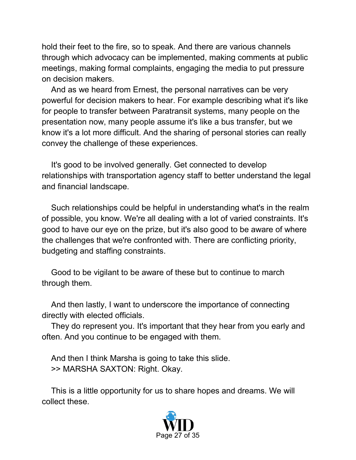hold their feet to the fire, so to speak. And there are various channels through which advocacy can be implemented, making comments at public meetings, making formal complaints, engaging the media to put pressure on decision makers.

And as we heard from Ernest, the personal narratives can be very powerful for decision makers to hear. For example describing what it's like for people to transfer between Paratransit systems, many people on the presentation now, many people assume it's like a bus transfer, but we know it's a lot more difficult. And the sharing of personal stories can really convey the challenge of these experiences.

It's good to be involved generally. Get connected to develop relationships with transportation agency staff to better understand the legal and financial landscape.

Such relationships could be helpful in understanding what's in the realm of possible, you know. We're all dealing with a lot of varied constraints. It's good to have our eye on the prize, but it's also good to be aware of where the challenges that we're confronted with. There are conflicting priority, budgeting and staffing constraints.

Good to be vigilant to be aware of these but to continue to march through them.

And then lastly, I want to underscore the importance of connecting directly with elected officials.

They do represent you. It's important that they hear from you early and often. And you continue to be engaged with them.

And then I think Marsha is going to take this slide. >> MARSHA SAXTON: Right. Okay.

This is a little opportunity for us to share hopes and dreams. We will collect these.

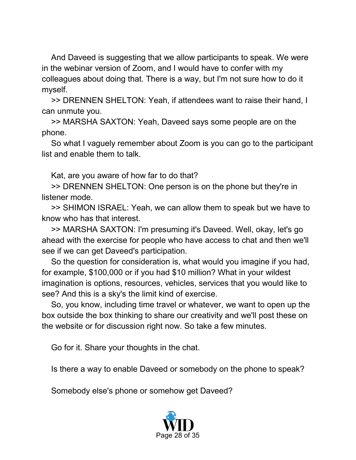And Daveed is suggesting that we allow participants to speak. We were in the webinar version of Zoom, and I would have to confer with my colleagues about doing that. There is a way, but I'm not sure how to do it myself.

>> DRENNEN SHELTON: Yeah, if attendees want to raise their hand, I can unmute you.

>> MARSHA SAXTON: Yeah, Daveed says some people are on the phone.

So what I vaguely remember about Zoom is you can go to the participant list and enable them to talk.

Kat, are you aware of how far to do that?

>> DRENNEN SHELTON: One person is on the phone but they're in listener mode.

>> SHIMON ISRAEL: Yeah, we can allow them to speak but we have to know who has that interest.

>> MARSHA SAXTON: I'm presuming it's Daveed. Well, okay, let's go ahead with the exercise for people who have access to chat and then we'll see if we can get Daveed's participation.

So the question for consideration is, what would you imagine if you had, for example, \$100,000 or if you had \$10 million? What in your wildest imagination is options, resources, vehicles, services that you would like to see? And this is a sky's the limit kind of exercise.

So, you know, including time travel or whatever, we want to open up the box outside the box thinking to share our creativity and we'll post these on the website or for discussion right now. So take a few minutes.

Go for it. Share your thoughts in the chat.

Is there a way to enable Daveed or somebody on the phone to speak?

Somebody else's phone or somehow get Daveed?

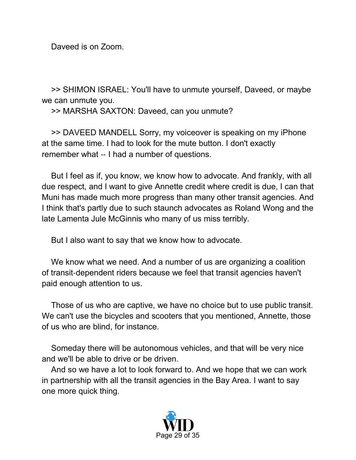Daveed is on Zoom.

>> SHIMON ISRAEL: You'll have to unmute yourself, Daveed, or maybe we can unmute you.

>> MARSHA SAXTON: Daveed, can you unmute?

>> DAVEED MANDELL Sorry, my voiceover is speaking on my iPhone at the same time. I had to look for the mute button. I don't exactly remember what -- I had a number of questions.

But I feel as if, you know, we know how to advocate. And frankly, with all due respect, and I want to give Annette credit where credit is due, I can that Muni has made much more progress than many other transit agencies. And I think that's partly due to such staunch advocates as Roland Wong and the late Lamenta Jule McGinnis who many of us miss terribly.

But I also want to say that we know how to advocate.

We know what we need. And a number of us are organizing a coalition of transit‑dependent riders because we feel that transit agencies haven't paid enough attention to us.

Those of us who are captive, we have no choice but to use public transit. We can't use the bicycles and scooters that you mentioned, Annette, those of us who are blind, for instance.

Someday there will be autonomous vehicles, and that will be very nice and we'll be able to drive or be driven.

And so we have a lot to look forward to. And we hope that we can work in partnership with all the transit agencies in the Bay Area. I want to say one more quick thing.

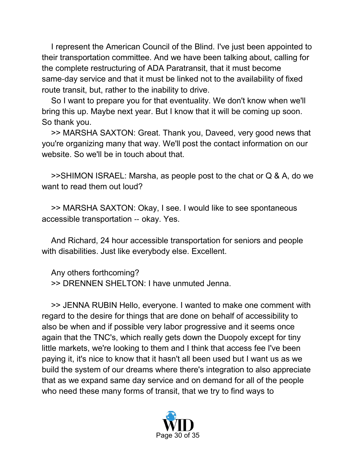I represent the American Council of the Blind. I've just been appointed to their transportation committee. And we have been talking about, calling for the complete restructuring of ADA Paratransit, that it must become same-day service and that it must be linked not to the availability of fixed route transit, but, rather to the inability to drive.

So I want to prepare you for that eventuality. We don't know when we'll bring this up. Maybe next year. But I know that it will be coming up soon. So thank you.

>> MARSHA SAXTON: Great. Thank you, Daveed, very good news that you're organizing many that way. We'll post the contact information on our website. So we'll be in touch about that.

>>SHIMON ISRAEL: Marsha, as people post to the chat or Q & A, do we want to read them out loud?

>> MARSHA SAXTON: Okay, I see. I would like to see spontaneous accessible transportation ‑‑ okay. Yes.

And Richard, 24 hour accessible transportation for seniors and people with disabilities. Just like everybody else. Excellent.

Any others forthcoming? >> DRENNEN SHELTON: I have unmuted Jenna.

>> JENNA RUBIN Hello, everyone. I wanted to make one comment with regard to the desire for things that are done on behalf of accessibility to also be when and if possible very labor progressive and it seems once again that the TNC's, which really gets down the Duopoly except for tiny little markets, we're looking to them and I think that access fee I've been paying it, it's nice to know that it hasn't all been used but I want us as we build the system of our dreams where there's integration to also appreciate that as we expand same day service and on demand for all of the people who need these many forms of transit, that we try to find ways to

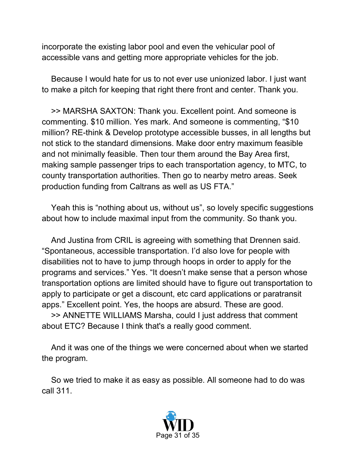incorporate the existing labor pool and even the vehicular pool of accessible vans and getting more appropriate vehicles for the job.

Because I would hate for us to not ever use unionized labor. I just want to make a pitch for keeping that right there front and center. Thank you.

>> MARSHA SAXTON: Thank you. Excellent point. And someone is commenting. \$10 million. Yes mark. And someone is commenting, "\$10 million? RE-think & Develop prototype accessible busses, in all lengths but not stick to the standard dimensions. Make door entry maximum feasible and not minimally feasible. Then tour them around the Bay Area first, making sample passenger trips to each transportation agency, to MTC, to county transportation authorities. Then go to nearby metro areas. Seek production funding from Caltrans as well as US FTA."

Yeah this is "nothing about us, without us", so lovely specific suggestions about how to include maximal input from the community. So thank you.

And Justina from CRIL is agreeing with something that Drennen said. "Spontaneous, accessible transportation. I'd also love for people with disabilities not to have to jump through hoops in order to apply for the programs and services." Yes. "It doesn't make sense that a person whose transportation options are limited should have to figure out transportation to apply to participate or get a discount, etc card applications or paratransit apps." Excellent point. Yes, the hoops are absurd. These are good.

>> ANNETTE WILLIAMS Marsha, could I just address that comment about ETC? Because I think that's a really good comment.

And it was one of the things we were concerned about when we started the program.

So we tried to make it as easy as possible. All someone had to do was call 311.

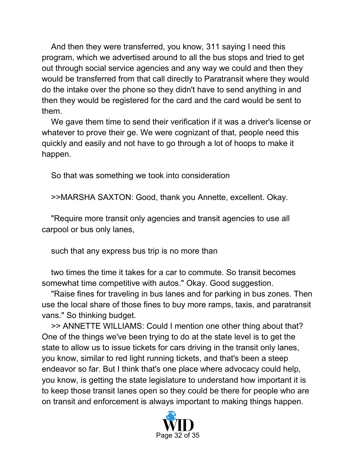And then they were transferred, you know, 311 saying I need this program, which we advertised around to all the bus stops and tried to get out through social service agencies and any way we could and then they would be transferred from that call directly to Paratransit where they would do the intake over the phone so they didn't have to send anything in and then they would be registered for the card and the card would be sent to them.

We gave them time to send their verification if it was a driver's license or whatever to prove their ge. We were cognizant of that, people need this quickly and easily and not have to go through a lot of hoops to make it happen.

So that was something we took into consideration

>>MARSHA SAXTON: Good, thank you Annette, excellent. Okay.

"Require more transit only agencies and transit agencies to use all carpool or bus only lanes,

such that any express bus trip is no more than

two times the time it takes for a car to commute. So transit becomes somewhat time competitive with autos." Okay. Good suggestion.

"Raise fines for traveling in bus lanes and for parking in bus zones. Then use the local share of those fines to buy more ramps, taxis, and paratransit vans." So thinking budget.

>> ANNETTE WILLIAMS: Could I mention one other thing about that? One of the things we've been trying to do at the state level is to get the state to allow us to issue tickets for cars driving in the transit only lanes, you know, similar to red light running tickets, and that's been a steep endeavor so far. But I think that's one place where advocacy could help, you know, is getting the state legislature to understand how important it is to keep those transit lanes open so they could be there for people who are on transit and enforcement is always important to making things happen.

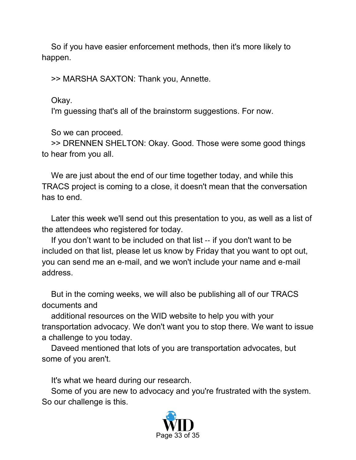So if you have easier enforcement methods, then it's more likely to happen.

>> MARSHA SAXTON: Thank you, Annette.

Okay.

I'm guessing that's all of the brainstorm suggestions. For now.

So we can proceed.

>> DRENNEN SHELTON: Okay. Good. Those were some good things to hear from you all.

We are just about the end of our time together today, and while this TRACS project is coming to a close, it doesn't mean that the conversation has to end.

Later this week we'll send out this presentation to you, as well as a list of the attendees who registered for today.

If you don't want to be included on that list -- if you don't want to be included on that list, please let us know by Friday that you want to opt out, you can send me an e‑mail, and we won't include your name and e‑mail address.

But in the coming weeks, we will also be publishing all of our TRACS documents and

additional resources on the WID website to help you with your transportation advocacy. We don't want you to stop there. We want to issue a challenge to you today.

Daveed mentioned that lots of you are transportation advocates, but some of you aren't.

It's what we heard during our research.

Some of you are new to advocacy and you're frustrated with the system. So our challenge is this.

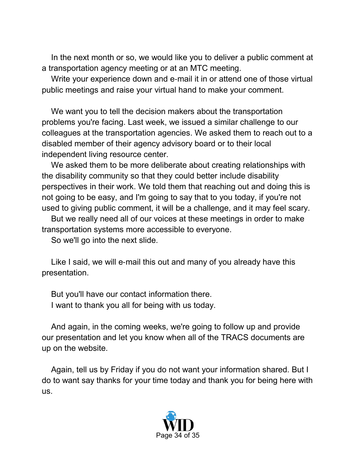In the next month or so, we would like you to deliver a public comment at a transportation agency meeting or at an MTC meeting.

Write your experience down and e‑mail it in or attend one of those virtual public meetings and raise your virtual hand to make your comment.

We want you to tell the decision makers about the transportation problems you're facing. Last week, we issued a similar challenge to our colleagues at the transportation agencies. We asked them to reach out to a disabled member of their agency advisory board or to their local independent living resource center.

We asked them to be more deliberate about creating relationships with the disability community so that they could better include disability perspectives in their work. We told them that reaching out and doing this is not going to be easy, and I'm going to say that to you today, if you're not used to giving public comment, it will be a challenge, and it may feel scary.

But we really need all of our voices at these meetings in order to make transportation systems more accessible to everyone.

So we'll go into the next slide.

Like I said, we will e-mail this out and many of you already have this presentation.

But you'll have our contact information there. I want to thank you all for being with us today.

And again, in the coming weeks, we're going to follow up and provide our presentation and let you know when all of the TRACS documents are up on the website.

Again, tell us by Friday if you do not want your information shared. But I do to want say thanks for your time today and thank you for being here with us.